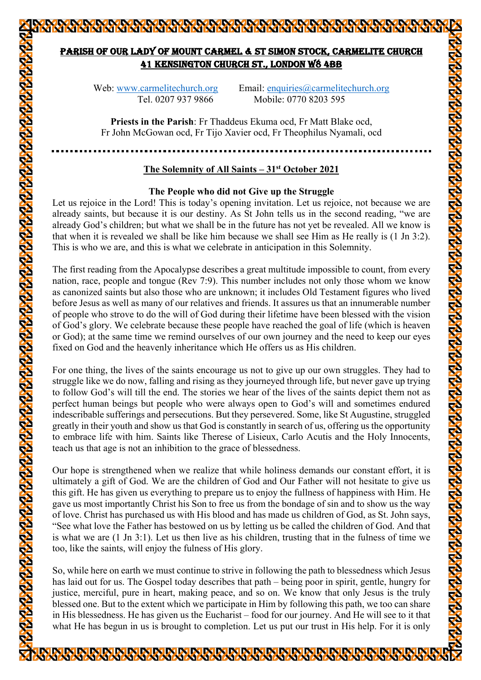# PARISH OF OUR LADY OF MOUNT CARMEL & ST SIMON STOCK, CARMELITE CHURCH 41 KENSINGTON CHURCH ST., LONDON W8 4BB

KARAKAN KATARAN KATARA KATARA KATARAN KATARAN KATARAN KATARAN KATARAN KATARAN KATARAN KATARAN KATARAN KATARAN K

Web: www.carmelitechurch.org Email: enquiries@carmelitechurch.org Tel. 0207 937 9866 Mobile: 0770 8203 595

**Priests in the Parish**: Fr Thaddeus Ekuma ocd, Fr Matt Blake ocd, Fr John McGowan ocd, Fr Tijo Xavier ocd, Fr Theophilus Nyamali, ocd

#### **The Solemnity of All Saints – 31st October 2021**

#### **The People who did not Give up the Struggle**

Let us rejoice in the Lord! This is today's opening invitation. Let us rejoice, not because we are already saints, but because it is our destiny. As St John tells us in the second reading, "we are already God's children; but what we shall be in the future has not yet be revealed. All we know is that when it is revealed we shall be like him because we shall see Him as He really is (1 Jn 3:2). This is who we are, and this is what we celebrate in anticipation in this Solemnity.

The first reading from the Apocalypse describes a great multitude impossible to count, from every nation, race, people and tongue (Rev 7:9). This number includes not only those whom we know as canonized saints but also those who are unknown; it includes Old Testament figures who lived before Jesus as well as many of our relatives and friends. It assures us that an innumerable number of people who strove to do the will of God during their lifetime have been blessed with the vision of God's glory. We celebrate because these people have reached the goal of life (which is heaven or God); at the same time we remind ourselves of our own journey and the need to keep our eyes fixed on God and the heavenly inheritance which He offers us as His children.

For one thing, the lives of the saints encourage us not to give up our own struggles. They had to struggle like we do now, falling and rising as they journeyed through life, but never gave up trying to follow God's will till the end. The stories we hear of the lives of the saints depict them not as perfect human beings but people who were always open to God's will and sometimes endured indescribable sufferings and persecutions. But they persevered. Some, like St Augustine, struggled greatly in their youth and show us that God is constantly in search of us, offering us the opportunity to embrace life with him. Saints like Therese of Lisieux, Carlo Acutis and the Holy Innocents, teach us that age is not an inhibition to the grace of blessedness.

Our hope is strengthened when we realize that while holiness demands our constant effort, it is ultimately a gift of God. We are the children of God and Our Father will not hesitate to give us this gift. He has given us everything to prepare us to enjoy the fullness of happiness with Him. He gave us most importantly Christ his Son to free us from the bondage of sin and to show us the way of love. Christ has purchased us with His blood and has made us children of God, as St. John says, "See what love the Father has bestowed on us by letting us be called the children of God. And that is what we are (1 Jn 3:1). Let us then live as his children, trusting that in the fulness of time we too, like the saints, will enjoy the fulness of His glory.

So, while here on earth we must continue to strive in following the path to blessedness which Jesus has laid out for us. The Gospel today describes that path – being poor in spirit, gentle, hungry for justice, merciful, pure in heart, making peace, and so on. We know that only Jesus is the truly blessed one. But to the extent which we participate in Him by following this path, we too can share in His blessedness. He has given us the Eucharist – food for our journey. And He will see to it that what He has begun in us is brought to completion. Let us put our trust in His help. For it is only